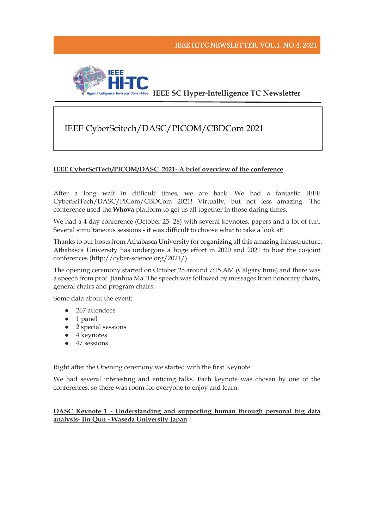

# IEEE CyberScitech/DASC/PICOM/CBDCom 2021

## **IEEE CyberSciTech/PICOM/DASC 2021- A brief overview of the conference**

After a long wait in difficult times, we are back. We had a fantastic IEEE CyberSciTech/DASC/PICom/CBDCom 2021! Virtually, but not less amazing. The conference used the **Whova** platform to get us all together in those daring times.

We had a 4 day conference (October 25- 28) with several keynotes, papers and a lot of fun. Several simultaneous sessions - it was difficult to choose what to take a look at!

Thanks to our hosts from Athabasca University for organizing all this amazing infrastructure. Athabasca University has undergone a huge effort in 2020 and 2021 to host the co-joint conferences (http://cyber-science.org/2021/).

The opening ceremony started on October 25 around 7:15 AM (Calgary time) and there was a speech from prof. Jianhua Ma. The speech was followed by messages from honorary chairs, general chairs and program chairs.

Some data about the event:

- 267 attendees
- 1 panel
- 2 special sessions
- 4 keynotes
- 47 sessions

Right after the Opening ceremony we started with the first Keynote.

We had several interesting and enticing talks. Each keynote was chosen by one of the conferences, so there was room for everyone to enjoy and learn.

# **DASC Keynote 1 - Understanding and supporting human through personal big data analysis- Jin Qun - Waseda University Japan**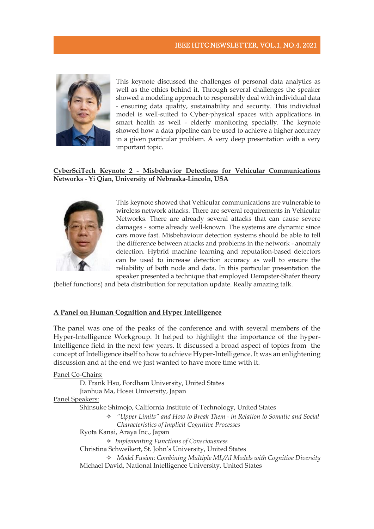

This keynote discussed the challenges of personal data analytics as well as the ethics behind it. Through several challenges the speaker showed a modeling approach to responsibly deal with individual data - ensuring data quality, sustainability and security. This individual model is well-suited to Cyber-physical spaces with applications in smart health as well - elderly monitoring specially. The keynote showed how a data pipeline can be used to achieve a higher accuracy in a given particular problem. A very deep presentation with a very important topic.

## **CyberSciTech Keynote 2 - Misbehavior Detections for Vehicular Communications Networks - Yi Qian, University of Nebraska-Lincoln, USA**



This keynote showed that Vehicular communications are vulnerable to wireless network attacks. There are several requirements in Vehicular Networks. There are already several attacks that can cause severe damages - some already well-known. The systems are dynamic since cars move fast. Misbehaviour detection systems should be able to tell the difference between attacks and problems in the network - anomaly detection. Hybrid machine learning and reputation-based detectors can be used to increase detection accuracy as well to ensure the reliability of both node and data. In this particular presentation the speaker presented a technique that employed Dempster-Shafer theory

(belief functions) and beta distribution for reputation update. Really amazing talk.

#### **A Panel on Human Cognition and Hyper Intelligence**

The panel was one of the peaks of the conference and with several members of the Hyper-Intelligence Workgroup. It helped to highlight the importance of the hyper-Intelligence field in the next few years. It discussed a broad aspect of topics from the concept of Intelligence itself to how to achieve Hyper-Intelligence. It was an enlightening discussion and at the end we just wanted to have more time with it.

Panel Co-Chairs: D. Frank Hsu, Fordham University, United States Jianhua Ma, Hosei University, Japan Panel Speakers:

Shinsuke Shimojo, California Institute of Technology, United States

- ✧ *"Upper Limits" and How to Break Them - in Relation to Somatic and Social Characteristics of Implicit Cognitive Processes*
- Ryota Kanai, Araya Inc., Japan

✧ *Implementing Functions of Consciousness* 

Christina Schweikert, St. John's University, United States

✧ *Model Fusion: Combining Multiple ML/AI Models with Cognitive Diversity*  Michael David, National Intelligence University, United States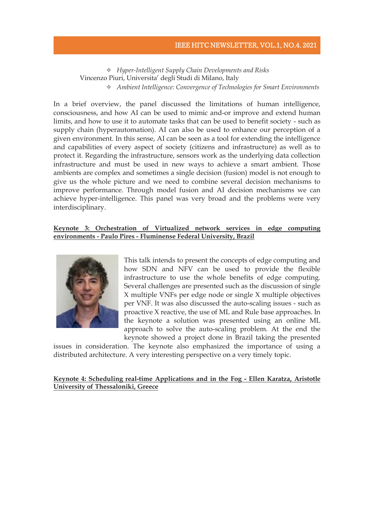#### IEEE HITC NEWSLETTER, VOL.1, NO.4. 2021

# ✧ *Hyper-Intelligent Supply Chain Developments and Risks*  Vincenzo Piuri, Universita' degli Studi di Milano, Italy ✧ *Ambient Intelligence: Convergence of Technologies for Smart Environments*

In a brief overview, the panel discussed the limitations of human intelligence, consciousness, and how AI can be used to mimic and-or improve and extend human limits, and how to use it to automate tasks that can be used to benefit society - such as supply chain (hyperautomation). AI can also be used to enhance our perception of a given environment. In this sense, AI can be seen as a tool for extending the intelligence and capabilities of every aspect of society (citizens and infrastructure) as well as to protect it. Regarding the infrastructure, sensors work as the underlying data collection infrastructure and must be used in new ways to achieve a smart ambient. Those ambients are complex and sometimes a single decision (fusion) model is not enough to give us the whole picture and we need to combine several decision mechanisms to improve performance. Through model fusion and AI decision mechanisms we can achieve hyper-intelligence. This panel was very broad and the problems were very interdisciplinary.

#### **Keynote 3: Orchestration of Virtualized network services in edge computing environments - Paulo Pires - Fluminense Federal University, Brazil**



This talk intends to present the concepts of edge computing and how SDN and NFV can be used to provide the flexible infrastructure to use the whole benefits of edge computing. Several challenges are presented such as the discussion of single X multiple VNFs per edge node or single X multiple objectives per VNF. It was also discussed the auto-scaling issues - such as proactive X reactive, the use of ML and Rule base approaches. In the keynote a solution was presented using an online ML approach to solve the auto-scaling problem. At the end the keynote showed a project done in Brazil taking the presented

issues in consideration. The keynote also emphasized the importance of using a distributed architecture. A very interesting perspective on a very timely topic.

#### **Keynote 4: Scheduling real-time Applications and in the Fog - Ellen Karatza, Aristotle University of Thessaloniki, Greece**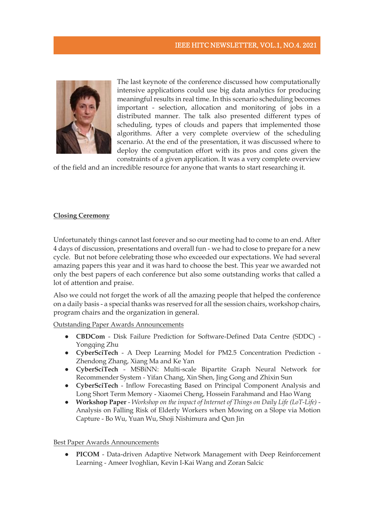

The last keynote of the conference discussed how computationally intensive applications could use big data analytics for producing meaningful results in real time. In this scenario scheduling becomes important - selection, allocation and monitoring of jobs in a distributed manner. The talk also presented different types of scheduling, types of clouds and papers that implemented those algorithms. After a very complete overview of the scheduling scenario. At the end of the presentation, it was discussed where to deploy the computation effort with its pros and cons given the constraints of a given application. It was a very complete overview

of the field and an incredible resource for anyone that wants to start researching it.

#### **Closing Ceremony**

Unfortunately things cannot last forever and so our meeting had to come to an end. After 4 days of discussion, presentations and overall fun - we had to close to prepare for a new cycle. But not before celebrating those who exceeded our expectations. We had several amazing papers this year and it was hard to choose the best. This year we awarded not only the best papers of each conference but also some outstanding works that called a lot of attention and praise.

Also we could not forget the work of all the amazing people that helped the conference on a daily basis - a special thanks was reserved for all the session chairs, workshop chairs, program chairs and the organization in general.

Outstanding Paper Awards Announcements

- **CBDCom**  Disk Failure Prediction for Software-Defined Data Centre (SDDC) Yongqing Zhu
- **CyberSciTech**  A Deep Learning Model for PM2.5 Concentration Prediction Zhendong Zhang, Xiang Ma and Ke Yan
- **CyberSciTech**  MSBiNN: Multi-scale Bipartite Graph Neural Network for Recommender System - Yifan Chang, Xin Shen, Jing Gong and Zhixin Sun
- **CyberSciTech**  Inflow Forecasting Based on Principal Component Analysis and Long Short Term Memory - Xiaomei Cheng, Hossein Farahmand and Hao Wang
- **Workshop Paper** *Workshop on the impact of Internet of Things on Daily Life (LoT-Life)* Analysis on Falling Risk of Elderly Workers when Mowing on a Slope via Motion Capture - Bo Wu, Yuan Wu, Shoji Nishimura and Qun Jin

Best Paper Awards Announcements

● **PICOM** - Data-driven Adaptive Network Management with Deep Reinforcement Learning - Ameer Ivoghlian, Kevin I-Kai Wang and Zoran Salcic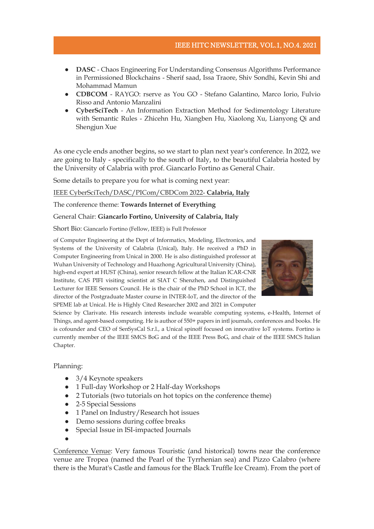# IEEE HITC NEWSLETTER, VOL.1, NO.4. 2021

- **DASC** Chaos Engineering For Understanding Consensus Algorithms Performance in Permissioned Blockchains - Sherif saad, Issa Traore, Shiv Sondhi, Kevin Shi and Mohammad Mamun
- **CDBCOM** RAYGO: rserve as You GO Stefano Galantino, Marco Iorio, Fulvio Risso and Antonio Manzalini
- **CyberSciTech** An Information Extraction Method for Sedimentology Literature with Semantic Rules - Zhicehn Hu, Xiangben Hu, Xiaolong Xu, Lianyong Qi and Shengjun Xue

As one cycle ends another begins, so we start to plan next year's conference. In 2022, we are going to Italy - specifically to the south of Italy, to the beautiful Calabria hosted by the University of Calabria with prof. Giancarlo Fortino as General Chair.

Some details to prepare you for what is coming next year:

#### IEEE CyberSciTech/DASC/PICom/CBDCom 2022- **Calabria, Italy**

The conference theme: **Towards Internet of Everything**

#### General Chair: **Giancarlo Fortino, University of Calabria, Italy**

Short Bio: Giancarlo Fortino (Fellow, IEEE) is Full Professor



of Computer Engineering at the Dept of Informatics, Modeling, Electronics, and Systems of the University of Calabria (Unical), Italy. He received a PhD in Computer Engineering from Unical in 2000. He is also distinguished professor at Wuhan University of Technology and Huazhong Agricultural University (China), high-end expert at HUST (China), senior research fellow at the Italian ICAR-CNR Institute, CAS PIFI visiting scientist at SIAT C Shenzhen, and Distinguished Lecturer for IEEE Sensors Council. He is the chair of the PhD School in ICT, the director of the Postgraduate Master course in INTER-IoT, and the director of the SPEME lab at Unical. He is Highly Cited Researcher 2002 and 2021 in Computer

Science by Clarivate. His research interests include wearable computing systems, e-Health, Internet of Things, and agent-based computing. He is author of 550+ papers in intl journals, conferences and books. He is cofounder and CEO of SenSysCal S.r.l., a Unical spinoff focused on innovative IoT systems. Fortino is currently member of the IEEE SMCS BoG and of the IEEE Press BoG, and chair of the IEEE SMCS Italian Chapter.

#### Planning:

- $\bullet$  3/4 Keynote speakers
- 1 Full-day Workshop or 2 Half-day Workshops
- 2 Tutorials (two tutorials on hot topics on the conference theme)
- 2-5 Special Sessions
- 1 Panel on Industry/Research hot issues
- Demo sessions during coffee breaks
- Special Issue in ISI-impacted Journals
- ●

Conference Venue: Very famous Touristic (and historical) towns near the conference venue are Tropea (named the Pearl of the Tyrrhenian sea) and Pizzo Calabro (where there is the Murat's Castle and famous for the Black Truffle Ice Cream). From the port of